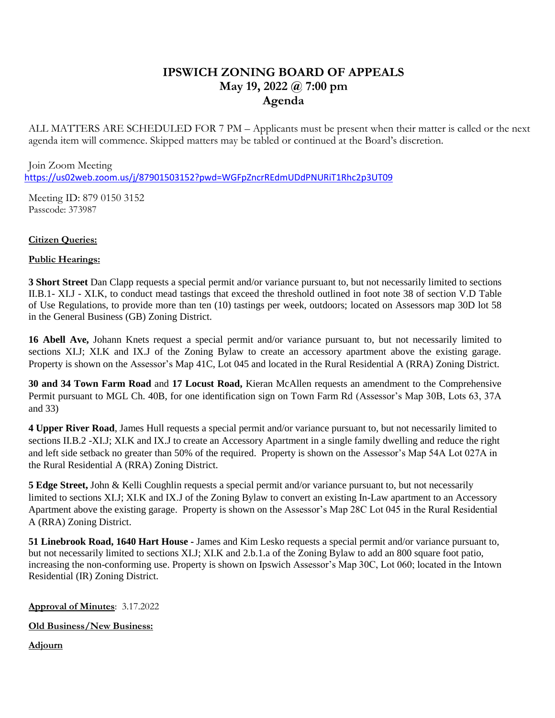# **IPSWICH ZONING BOARD OF APPEALS May 19, 2022 @ 7:00 pm Agenda**

ALL MATTERS ARE SCHEDULED FOR 7 PM – Applicants must be present when their matter is called or the next agenda item will commence. Skipped matters may be tabled or continued at the Board's discretion.

Join Zoom Meeting <https://us02web.zoom.us/j/87901503152?pwd=WGFpZncrREdmUDdPNURiT1Rhc2p3UT09>

Meeting ID: 879 0150 3152 Passcode: 373987

# **Citizen Queries:**

# **Public Hearings:**

**3 Short Street** Dan Clapp requests a special permit and/or variance pursuant to, but not necessarily limited to sections II.B.1- XI.J - XI.K, to conduct mead tastings that exceed the threshold outlined in foot note 38 of section V.D Table of Use Regulations, to provide more than ten (10) tastings per week, outdoors; located on Assessors map 30D lot 58 in the General Business (GB) Zoning District.

**16 Abell Ave,** Johann Knets request a special permit and/or variance pursuant to, but not necessarily limited to sections XI.J; XI.K and IX.J of the Zoning Bylaw to create an accessory apartment above the existing garage. Property is shown on the Assessor's Map 41C, Lot 045 and located in the Rural Residential A (RRA) Zoning District.

**30 and 34 Town Farm Road** and **17 Locust Road,** Kieran McAllen requests an amendment to the Comprehensive Permit pursuant to MGL Ch. 40B, for one identification sign on Town Farm Rd (Assessor's Map 30B, Lots 63, 37A and 33)

**4 Upper River Road**, James Hull requests a special permit and/or variance pursuant to, but not necessarily limited to sections II.B.2 -XI.J; XI.K and IX.J to create an Accessory Apartment in a single family dwelling and reduce the right and left side setback no greater than 50% of the required. Property is shown on the Assessor's Map 54A Lot 027A in the Rural Residential A (RRA) Zoning District.

**5 Edge Street,** John & Kelli Coughlin requests a special permit and/or variance pursuant to, but not necessarily limited to sections XI.J; XI.K and IX.J of the Zoning Bylaw to convert an existing In-Law apartment to an Accessory Apartment above the existing garage. Property is shown on the Assessor's Map 28C Lot 045 in the Rural Residential A (RRA) Zoning District.

**51 Linebrook Road, 1640 Hart House -** James and Kim Lesko requests a special permit and/or variance pursuant to, but not necessarily limited to sections XI.J; XI.K and 2.b.1.a of the Zoning Bylaw to add an 800 square foot patio, increasing the non-conforming use. Property is shown on Ipswich Assessor's Map 30C, Lot 060; located in the Intown Residential (IR) Zoning District.

### **Approval of Minutes**: 3.17.2022

### **Old Business/New Business:**

**Adjourn**